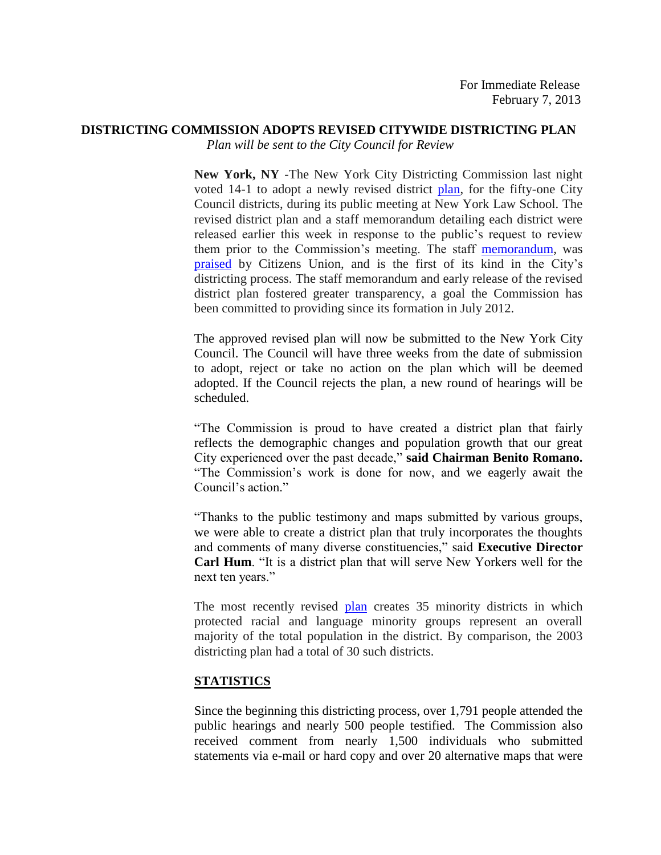## **DISTRICTING COMMISSION ADOPTS REVISED CITYWIDE DISTRICTING PLAN**

*Plan will be sent to the City Council for Review* 

**New York, NY** -The New York City Districting Commission last night voted 14-1 to adopt a newly revised district [plan,](http://www.nyc.gov/html/dc/html/maps/maps.shtml) for the fifty-one City Council districts, during its public meeting at New York Law School. The revised district plan and a staff memorandum detailing each district were released earlier this week in response to the public's request to review them prior to the Commission's meeting. The staff [memorandum,](http://www.nyc.gov/html/dc/html/home/home.shtml) was [praised](https://app.e2ma.net/app/view:CampaignPublic/id:1407871.13010571150/rid:4ec526876f28d45892440c13564c6744) by Citizens Union, and is the first of its kind in the City's districting process. The staff memorandum and early release of the revised district plan fostered greater transparency, a goal the Commission has been committed to providing since its formation in July 2012.

The approved revised plan will now be submitted to the New York City Council. The Council will have three weeks from the date of submission to adopt, reject or take no action on the plan which will be deemed adopted. If the Council rejects the plan, a new round of hearings will be scheduled.

"The Commission is proud to have created a district plan that fairly reflects the demographic changes and population growth that our great City experienced over the past decade," **said Chairman Benito Romano.**  "The Commission's work is done for now, and we eagerly await the Council's action."

"Thanks to the public testimony and maps submitted by various groups, we were able to create a district plan that truly incorporates the thoughts and comments of many diverse constituencies," said **Executive Director Carl Hum**. "It is a district plan that will serve New Yorkers well for the next ten years."

The most recently revised [plan](http://www.nyc.gov/html/dc/html/maps/maps.shtml) creates 35 minority districts in which protected racial and language minority groups represent an overall majority of the total population in the district. By comparison, the 2003 districting plan had a total of 30 such districts.

## **STATISTICS**

Since the beginning this districting process, over 1,791 people attended the public hearings and nearly 500 people testified. The Commission also received comment from nearly 1,500 individuals who submitted statements via e-mail or hard copy and over 20 alternative maps that were